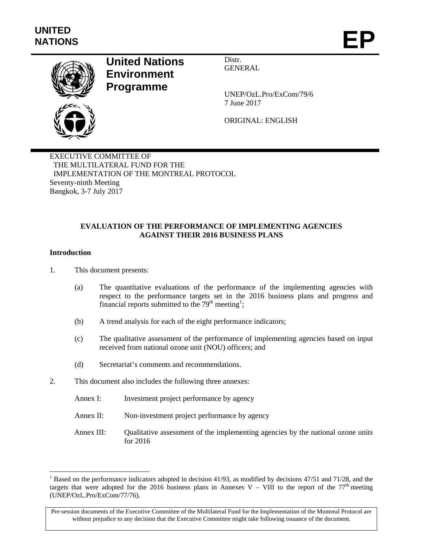

# **United Nations Environment Programme**

Distr. GENERAL

UNEP/OzL.Pro/ExCom/79/6 7 June 2017

ORIGINAL: ENGLISH

EXECUTIVE COMMITTEE OF THE MULTILATERAL FUND FOR THE IMPLEMENTATION OF THE MONTREAL PROTOCOL Seventy-ninth Meeting Bangkok, 3-7 July 2017

### **EVALUATION OF THE PERFORMANCE OF IMPLEMENTING AGENCIES AGAINST THEIR 2016 BUSINESS PLANS**

#### **Introduction**

l

1. This document presents:

- (a) The quantitative evaluations of the performance of the implementing agencies with respect to the performance targets set in the 2016 business plans and progress and financial reports submitted to the  $79<sup>th</sup>$  meeting<sup>1</sup>;
- (b) A trend analysis for each of the eight performance indicators;
- (c) The qualitative assessment of the performance of implementing agencies based on input received from national ozone unit (NOU) officers; and
- (d) Secretariat's comments and recommendations.
- 2. This document also includes the following three annexes:
	- Annex I: Investment project performance by agency
	- Annex II: Non-investment project performance by agency
	- Annex III: Qualitative assessment of the implementing agencies by the national ozone units for 2016

<sup>&</sup>lt;sup>1</sup> Based on the performance indicators adopted in decision 41/93, as modified by decisions 47/51 and 71/28, and the targets that were adopted for the 2016 business plans in Annexes V – VIII to the report of the  $77<sup>th</sup>$  meeting (UNEP/OzL.Pro/ExCom/77/76).

Pre-session documents of the Executive Committee of the Multilateral Fund for the Implementation of the Montreal Protocol are without prejudice to any decision that the Executive Committee might take following issuance of the document.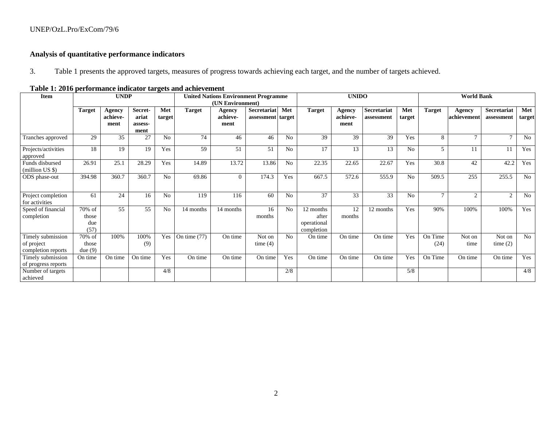# **Analysis of quantitative performance indicators**

3.Table 1 presents the approved targets, measures of progress towards achieving each target, and the number of targets achieved.

| Item                                                  |                                | <b>UNDP</b>                |                                     |                | performance maneator any gets and achievement | <b>United Nations Environment Programme</b> |                                         |                |                                                 | <b>UNIDO</b>               |                                  |                |                 | <b>World Bank</b>     |                           |               |
|-------------------------------------------------------|--------------------------------|----------------------------|-------------------------------------|----------------|-----------------------------------------------|---------------------------------------------|-----------------------------------------|----------------|-------------------------------------------------|----------------------------|----------------------------------|----------------|-----------------|-----------------------|---------------------------|---------------|
|                                                       |                                |                            |                                     |                |                                               | (UN Environment)                            |                                         |                |                                                 |                            |                                  |                |                 |                       |                           |               |
|                                                       | <b>Target</b>                  | Agency<br>achieve-<br>ment | Secret-<br>ariat<br>assess-<br>ment | Met<br>target  | <b>Target</b>                                 | Agency<br>achieve-<br>ment                  | <b>Secretariat</b><br>assessment target | Met            | <b>Target</b>                                   | Agency<br>achieve-<br>ment | <b>Secretariat</b><br>assessment | Met<br>target  | <b>Target</b>   | Agency<br>achievement | Secretariat<br>assessment | Met<br>target |
| Tranches approved                                     | 29                             | 35                         | 27                                  | N <sub>0</sub> | 74                                            | 46                                          | 46                                      | No             | 39                                              | 39                         | 39                               | Yes            | 8               | $\mathbf{r}$          | $\mathbf{r}$              | No            |
| Projects/activities<br>approved                       | 18                             | 19                         | 19                                  | Yes            | 59                                            | 51                                          | 51                                      | No             | 17                                              | 13                         | 13                               | No             | 5               | 11                    | 11                        | Yes           |
| Funds disbursed<br>(million US \$)                    | 26.91                          | 25.1                       | 28.29                               | Yes            | 14.89                                         | 13.72                                       | 13.86                                   | N <sub>o</sub> | 22.35                                           | 22.65                      | 22.67                            | Yes            | 30.8            | 42                    | 42.2                      | Yes           |
| ODS phase-out                                         | 394.98                         | 360.7                      | 360.7                               | N <sub>o</sub> | 69.86                                         | $\Omega$                                    | 174.3                                   | Yes            | 667.5                                           | 572.6                      | 555.9                            | No             | 509.5           | 255                   | 255.5                     | No            |
| Project completion<br>for activities                  | 61                             | 24                         | 16                                  | N <sub>0</sub> | 119                                           | 116                                         | 60                                      | No             | 37                                              | 33                         | 33                               | N <sub>o</sub> | $\mathcal{I}$   | $\overline{2}$        | 2                         | No            |
| Speed of financial<br>completion                      | 70% of<br>those<br>due<br>(57) | 55                         | 55                                  | N <sub>o</sub> | 14 months                                     | 14 months                                   | 16<br>months                            | No             | 12 months<br>after<br>operational<br>completion | 12<br>months               | 12 months                        | Yes            | 90%             | 100%                  | 100%                      | Yes           |
| Timely submission<br>of project<br>completion reports | 70% of<br>those<br>due(9)      | 100%                       | 100%<br>(9)                         | Yes            | On time $(77)$                                | On time                                     | Not on<br>time $(4)$                    | No             | On time                                         | On time                    | On time                          | Yes            | On Time<br>(24) | Not on<br>time        | Not on<br>time $(2)$      | No            |
| Timely submission<br>of progress reports              | On time                        | On time                    | On time                             | Yes            | On time                                       | On time                                     | On time                                 | Yes            | On time                                         | On time                    | On time                          | Yes            | On Time         | On time               | On time                   | Yes           |
| Number of targets<br>achieved                         |                                |                            |                                     | 4/8            |                                               |                                             |                                         | 2/8            |                                                 |                            |                                  | 5/8            |                 |                       |                           | 4/8           |

### **Table 1: 2016 performance indicator targets and achievement**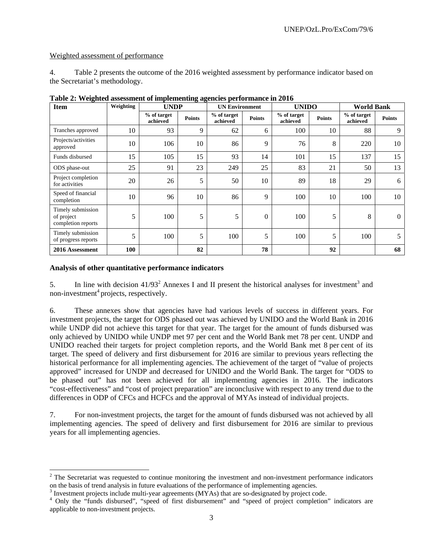### Weighted assessment of performance

4. Table 2 presents the outcome of the 2016 weighted assessment by performance indicator based on the Secretariat's methodology.

| <b>Item</b>                                           | Weighting | <b>UNDP</b>             |               | <b>UN Environment</b>   |               | <b>UNIDO</b>            |               | <b>World Bank</b>       |               |
|-------------------------------------------------------|-----------|-------------------------|---------------|-------------------------|---------------|-------------------------|---------------|-------------------------|---------------|
|                                                       |           | % of target<br>achieved | <b>Points</b> | % of target<br>achieved | <b>Points</b> | % of target<br>achieved | <b>Points</b> | % of target<br>achieved | <b>Points</b> |
| Tranches approved                                     | 10        | 93                      | 9             | 62                      | 6             | 100                     | 10            | 88                      | 9             |
| Projects/activities<br>approved                       | 10        | 106                     | 10            | 86                      | 9             | 76                      | 8             | 220                     | 10            |
| Funds disbursed                                       | 15        | 105                     | 15            | 93                      | 14            | 101                     | 15            | 137                     | 15            |
| ODS phase-out                                         | 25        | 91                      | 23            | 249                     | 25            | 83                      | 21            | 50                      | 13            |
| Project completion<br>for activities                  | 20        | 26                      | 5             | 50                      | 10            | 89                      | 18            | 29                      | 6             |
| Speed of financial<br>completion                      | 10        | 96                      | 10            | 86                      | 9             | 100                     | 10            | 100                     | 10            |
| Timely submission<br>of project<br>completion reports | 5         | 100                     | 5             | 5                       | $\mathbf{0}$  | 100                     | 5             | 8                       | $\theta$      |
| Timely submission<br>of progress reports              | 5         | 100                     | 5             | 100                     | 5             | 100                     | 5             | 100                     | 5             |
| 2016 Assessment                                       | 100       |                         | 82            |                         | 78            |                         | 92            |                         | 68            |

**Table 2: Weighted assessment of implementing agencies performance in 2016** 

# **Analysis of other quantitative performance indicators**

l

5. In line with decision  $41/93<sup>2</sup>$  Annexes I and II present the historical analyses for investment<sup>3</sup> and non-investment<sup>4</sup> projects, respectively.

6. These annexes show that agencies have had various levels of success in different years. For investment projects, the target for ODS phased out was achieved by UNIDO and the World Bank in 2016 while UNDP did not achieve this target for that year. The target for the amount of funds disbursed was only achieved by UNIDO while UNDP met 97 per cent and the World Bank met 78 per cent. UNDP and UNIDO reached their targets for project completion reports, and the World Bank met 8 per cent of its target. The speed of delivery and first disbursement for 2016 are similar to previous years reflecting the historical performance for all implementing agencies. The achievement of the target of "value of projects approved" increased for UNDP and decreased for UNIDO and the World Bank. The target for "ODS to be phased out" has not been achieved for all implementing agencies in 2016. The indicators "cost-effectiveness" and "cost of project preparation" are inconclusive with respect to any trend due to the differences in ODP of CFCs and HCFCs and the approval of MYAs instead of individual projects.

7. For non-investment projects, the target for the amount of funds disbursed was not achieved by all implementing agencies. The speed of delivery and first disbursement for 2016 are similar to previous years for all implementing agencies.

 $2$  The Secretariat was requested to continue monitoring the investment and non-investment performance indicators on the basis of trend analysis in future evaluations of the performance of implementing agencies.

<sup>&</sup>lt;sup>3</sup> Investment projects include multi-year agreements  $(M\hat{Y}As)$  that are so-designated by project code.

<sup>&</sup>lt;sup>4</sup> Only the "funds disbursed", "speed of first disbursement" and "speed of project completion" indicators are applicable to non-investment projects.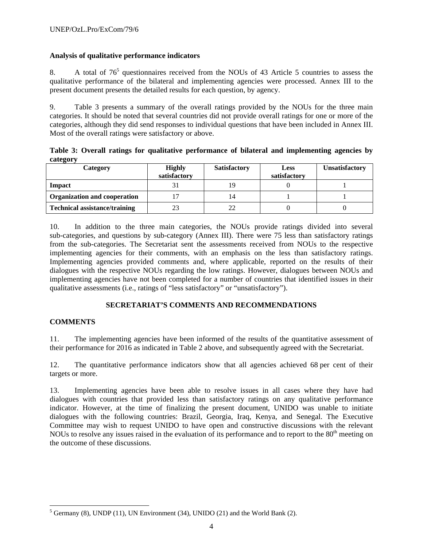# **Analysis of qualitative performance indicators**

8. A total of  $76<sup>5</sup>$  questionnaires received from the NOUs of 43 Article 5 countries to assess the qualitative performance of the bilateral and implementing agencies were processed. Annex III to the present document presents the detailed results for each question, by agency.

9. Table 3 presents a summary of the overall ratings provided by the NOUs for the three main categories. It should be noted that several countries did not provide overall ratings for one or more of the categories, although they did send responses to individual questions that have been included in Annex III. Most of the overall ratings were satisfactory or above.

**Table 3: Overall ratings for qualitative performance of bilateral and implementing agencies by category** 

| Category                             | <b>Highly</b><br>satisfactory | <b>Satisfactory</b> | <b>Less</b><br>satisfactory | <b>Unsatisfactory</b> |
|--------------------------------------|-------------------------------|---------------------|-----------------------------|-----------------------|
| Impact                               |                               | 19                  |                             |                       |
| <b>Organization and cooperation</b>  |                               | 14                  |                             |                       |
| <b>Technical assistance/training</b> |                               | 22                  |                             |                       |

10. In addition to the three main categories, the NOUs provide ratings divided into several sub-categories, and questions by sub-category (Annex III). There were 75 less than satisfactory ratings from the sub-categories. The Secretariat sent the assessments received from NOUs to the respective implementing agencies for their comments, with an emphasis on the less than satisfactory ratings. Implementing agencies provided comments and, where applicable, reported on the results of their dialogues with the respective NOUs regarding the low ratings. However, dialogues between NOUs and implementing agencies have not been completed for a number of countries that identified issues in their qualitative assessments (i.e., ratings of "less satisfactory" or "unsatisfactory").

# **SECRETARIAT'S COMMENTS AND RECOMMENDATIONS**

# **COMMENTS**

11. The implementing agencies have been informed of the results of the quantitative assessment of their performance for 2016 as indicated in Table 2 above, and subsequently agreed with the Secretariat.

12. The quantitative performance indicators show that all agencies achieved 68 per cent of their targets or more.

13. Implementing agencies have been able to resolve issues in all cases where they have had dialogues with countries that provided less than satisfactory ratings on any qualitative performance indicator. However, at the time of finalizing the present document, UNIDO was unable to initiate dialogues with the following countries: Brazil, Georgia, Iraq, Kenya, and Senegal. The Executive Committee may wish to request UNIDO to have open and constructive discussions with the relevant NOUs to resolve any issues raised in the evaluation of its performance and to report to the  $80<sup>th</sup>$  meeting on the outcome of these discussions.

 $\frac{5}{5}$  Germany (8), UNDP (11), UN Environment (34), UNIDO (21) and the World Bank (2).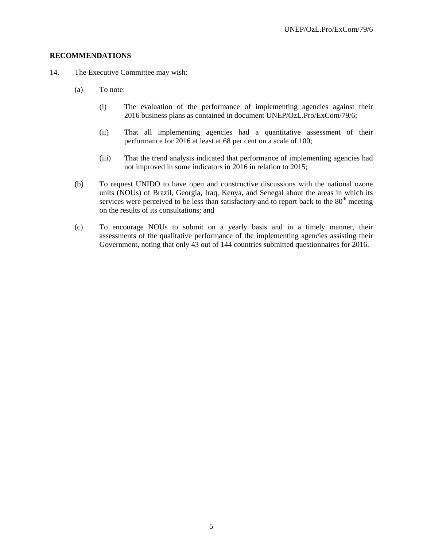#### **RECOMMENDATIONS**

- 14. The Executive Committee may wish:
	- (a) To note:
		- (i) The evaluation of the performance of implementing agencies against their 2016 business plans as contained in document UNEP/OzL.Pro/ExCom/79/6;
		- (ii) That all implementing agencies had a quantitative assessment of their performance for 2016 at least at 68 per cent on a scale of 100;
		- (iii) That the trend analysis indicated that performance of implementing agencies had not improved in some indicators in 2016 in relation to 2015;
	- (b) To request UNIDO to have open and constructive discussions with the national ozone units (NOUs) of Brazil, Georgia, Iraq, Kenya, and Senegal about the areas in which its services were perceived to be less than satisfactory and to report back to the  $80<sup>th</sup>$  meeting on the results of its consultations; and
	- (c) To encourage NOUs to submit on a yearly basis and in a timely manner, their assessments of the qualitative performance of the implementing agencies assisting their Government, noting that only 43 out of 144 countries submitted questionnaires for 2016.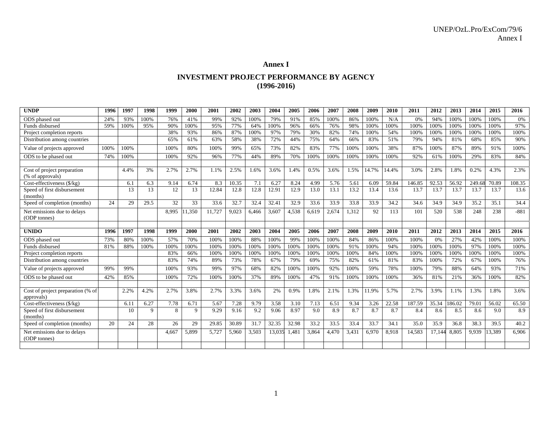#### **Annex I**

#### **INVESTMENT PROJECT PERFORMANCE BY AGENCY (1996-2016)**

| <b>UNDP</b>                                     | 1996 | 1997 | 1998 | 1999  | 2000  | 2001   | 2002  | 2003  | 2004   | 2005  | 2006  | 2007  | 2008  | 2009  | 2010  | 2011   | 2012   | 2013   | 2014  | 2015   | 2016   |
|-------------------------------------------------|------|------|------|-------|-------|--------|-------|-------|--------|-------|-------|-------|-------|-------|-------|--------|--------|--------|-------|--------|--------|
| ODS phased out                                  | 24%  | 93%  | 100% | 76%   | 41%   | 99%    | 92%   | 100%  | 79%    | 91%   | 85%   | 100%  | 86%   | 100%  | N/A   | 0%     | 94%    | 100%   | 100%  | 100%   | 0%     |
| Funds disbursed                                 | 59%  | 100% | 95%  | 90%   | 100%  | 95%    | 77%   | 64%   | 100%   | 96%   | 66%   | 76%   | 98%   | 100%  | 100%  | 100%   | 100%   | 100%   | 100%  | 100%   | 97%    |
| Project completion reports                      |      |      |      | 38%   | 93%   | 86%    | 87%   | 100%  | 97%    | 79%   | 30%   | 82%   | 74%   | 100%  | 54%   | 100%   | 100%   | 100%   | 100%  | 100%   | 100%   |
| Distribution among countries                    |      |      |      | 65%   | 61%   | 63%    | 58%   | 38%   | 72%    | 44%   | 75%   | 64%   | 66%   | 83%   | 51%   | 79%    | 94%    | 81%    | 68%   | 85%    | 90%    |
| Value of projects approved                      | 100% | 100% |      | 100%  | 80%   | 100%   | 99%   | 65%   | 73%    | 82%   | 83%   | 77%   | 100%  | 100%  | 38%   | 87%    | 100%   | 87%    | 89%   | 91%    | 100%   |
| ODS to be phased out                            | 74%  | 100% |      | 100%  | 92%   | 96%    | 77%   | 44%   | 89%    | 70%   | 100%  | 100%  | 100%  | 100%  | 100%  | 92%    | 61%    | 100%   | 29%   | 83%    | 84%    |
|                                                 |      |      |      |       |       |        |       |       |        |       |       |       |       |       |       |        |        |        |       |        |        |
| Cost of project preparation<br>(% of approvals) |      | 4.4% | 3%   | 2.7%  | 2.7%  | 1.1%   | 2.5%  | 1.6%  | 3.6%   | 1.4%  | 0.5%  | 3.6%  | 1.5%  | 14.7% | 14.4% | 3.0%   | 2.8%   | 1.8%   | 0.2%  | 4.3%   | 2.3%   |
| Cost-effectiveness (\$/kg)                      |      | 6.1  | 6.3  | 9.14  | 6.74  | 8.3    | 10.35 | 7.1   | 6.27   | 8.24  | 4.99  | 5.76  | 5.61  | 6.09  | 59.84 | 146.85 | 92.53  | 56.92  | 249.6 | 70.89  | 108.35 |
| Speed of first disbursement<br>(months)         |      | 13   | 13   | 12    | 13    | 12.84  | 12.8  | 12.8  | 12.91  | 12.9  | 13.0  | 13.1  | 13.2  | 13.4  | 13.6  | 13.7   | 13.7   | 13.7   | 13.7  | 13.7   | 13.6   |
| Speed of completion (months)                    | 24   | 29   | 29.5 | 32    | 33    | 33.6   | 32.7  | 32.4  | 32.41  | 32.9  | 33.6  | 33.9  | 33.8  | 33.9  | 34.2  | 34.6   | 34.9   | 34.9   | 35.2  | 35.1   | 34.4   |
| Net emissions due to delays<br>(ODP tonnes)     |      |      |      | 8.995 | 1,350 | 11,727 | 9,023 | 6,466 | 3,607  | 4,538 | 6,619 | 2,674 | 1,312 | 92    | 113   | 101    | 520    | 538    | 248   | 238    | $-881$ |
|                                                 |      |      |      |       |       |        |       |       |        |       |       |       |       |       |       |        |        |        |       |        |        |
| <b>UNIDO</b>                                    | 1996 | 1997 | 1998 | 1999  | 2000  | 2001   | 2002  | 2003  | 2004   | 2005  | 2006  | 2007  | 2008  | 2009  | 2010  | 2011   | 2012   | 2013   | 2014  | 2015   | 2016   |
| ODS phased out                                  | 73%  | 80%  | 100% | 57%   | 70%   | 100%   | 100%  | 88%   | 100%   | 99%   | 100%  | 100%  | 84%   | 86%   | 100%  |        |        |        |       |        |        |
|                                                 |      |      |      |       |       |        |       |       |        |       |       |       |       |       |       | 100%   | 0%     | 27%    | 42%   | 100%   | 100%   |
| Funds disbursed                                 | 81%  | 88%  | 100% | 100%  | 100%  | 100%   | 100%  | 100%  | 100%   | 100%  | 100%  | 100%  | 91%   | 100%  | 94%   | 100%   | 100%   | 100%   | 97%   | 100%   | 100%   |
| Project completion reports                      |      |      |      | 83%   | 66%   | 100%   | 100%  | 100%  | 100%   | 100%  | 100%  | 100%  | 100%  | 84%   | 100%  | 100%   | 100%   | 100%   | 100%  | 100%   | 100%   |
| Distribution among countries                    |      |      |      | 83%   | 74%   | 89%    | 73%   | 78%   | 67%    | 79%   | 69%   | 75%   | 82%   | 61%   | 81%   | 83%    | 100%   | 72%    | 67%   | 100%   | 76%    |
| Value of projects approved                      | 99%  | 99%  |      | 100%  | 93%   | 99%    | 97%   | 68%   | 82%    | 100%  | 100%  | 92%   | 100%  | 59%   | 78%   | 100%   | 79%    | 88%    | 64%   | 93%    | 71%    |
| ODS to be phased out                            | 42%  | 85%  |      | 100%  | 72%   | 100%   | 100%  | 37%   | 89%    | 100%  | 47%   | 91%   | 100%  | 100%  | 100%  | 36%    | 81%    | 21%    | 36%   | 100%   | 82%    |
|                                                 |      |      |      |       |       |        |       |       |        |       |       |       |       |       |       |        |        |        |       |        |        |
| Cost of project preparation (% of<br>approvals) |      | 2.2% | 4.2% | 2.7%  | 3.8%  | 2.7%   | 3.3%  | 3.6%  | 2%     | 0.9%  | 1.8%  | 2.1%  | 1.3%  | 11.9% | 5.7%  | 2.7%   | 3.9%   | 1.1%   | 1.3%  | 1.8%   | 3.6%   |
| Cost-effectiveness $(\frac{5}{kg})$             |      | 6.11 | 6.27 | 7.78  | 6.71  | 5.67   | 7.28  | 9.79  | 3.58   | 3.10  | 7.13  | 6.51  | 9.34  | 3.26  | 22.58 | 187.59 | 35.34  | 186.02 | 79.01 | 56.02  | 65.50  |
| Speed of first disbursement<br>(months)         |      | 10   | 9    | 8     | 9     | 9.29   | 9.16  | 9.2   | 9.06   | 8.97  | 9.0   | 8.9   | 8.7   | 8.7   | 8.7   | 8.4    | 8.6    | 8.5    | 8.6   | 9.0    | 8.9    |
| Speed of completion (months)                    | 20   | 24   | 28   | 26    | 29    | 29.85  | 30.89 | 31.7  | 32.35  | 32.98 | 33.2  | 33.5  | 33.4  | 33.7  | 34.1  | 35.0   | 35.9   | 36.8   | 38.3  | 39.5   | 40.2   |
| Net emissions due to delays<br>(ODP tonnes)     |      |      |      | 4.667 | 5,899 | 5,727  | 5,960 | 3,503 | 13,035 | 1,481 | 3,864 | 4,470 | 3,431 | 6,970 | 8,918 | 14,583 | 17,144 | 8,805  | 9.939 | 13,389 | 6.906  |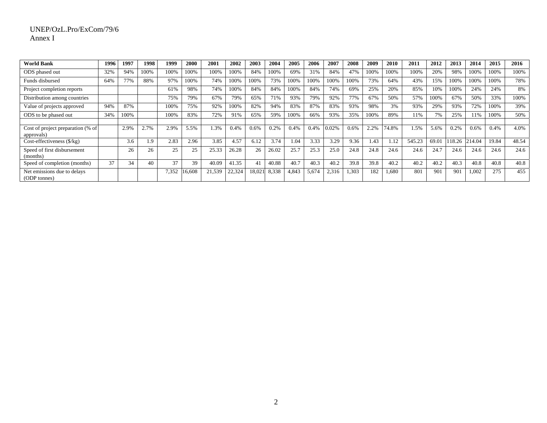#### UNEP/OzL.Pro/ExCom/79/6 Annex I

| <b>World Bank</b>                               | 1996 | 1997 | 1998 | 1999  | 2000   | 2001   | 2002   | 2003   | 2004  | 2005  | 2006  | 2007  | 2008  | 2009 | <b>2010</b> | 2011   | 2012  | 2013   | 2014   | 2015  | 2016  |
|-------------------------------------------------|------|------|------|-------|--------|--------|--------|--------|-------|-------|-------|-------|-------|------|-------------|--------|-------|--------|--------|-------|-------|
| ODS phased out                                  | 32%  | 94%  | 100% | 100%  | 100%   | 100%   | 100%   | 84%    | 100%  | 69%   | 31%   | 84%   | 47%   | 100% | 100%        | 100%   | 20%   | 98%    | 100%   | 100%  | 100%  |
| Funds disbursed                                 | 64%  | 77%  | 88%  | 97%   | 100%   | 74%    | 100%   | 100%   | 73%   | 100%  | 100%  | 100%  | 100%  | 73%  | 64%         | 43%    | 15%   | 100%   | 100%   | 100%  | 78%   |
| Project completion reports                      |      |      |      | 61%   | 98%    | 74%    | 100%   | 84%    | 84%   | 100%  | 84%   | 74%   | 69%   | 25%  | 20%         | 85%    | 10%   | 100%   | 24%    | 24%   | 8%    |
| Distribution among countries                    |      |      |      | 75%   | 79%    | 67%    | 79%    | 65%    | 71%   | 93%   | 79%   | 92%   | 77%   | 67%  | 50%         | 57%    | 100%  | 67%    | 50%    | 33%   | 100%  |
| Value of projects approved                      | 94%  | 87%  |      | 00%   | 75%    | 92%    | 100%   | 82%    | 94%   | 83%   | 87%   | 83%   | 93%   | 98%  | 3%          | 93%    | 29%   | 93%    | 72%    | 100%  | 39%   |
| ODS to be phased out                            | 34%  | 100% |      | 100%  | 83%    | 72%    | 91%    | 65%    | 59%   | 100%  | 66%   | 93%   | 35%   | 100% | 89%         | 11%    | 7%    | 25%    | 11%    | 100%  | 50%   |
|                                                 |      |      |      |       |        |        |        |        |       |       |       |       |       |      |             |        |       |        |        |       |       |
| Cost of project preparation (% of<br>approvals) |      | 2.9% | 2.7% | 2.9%  | 5.5%   | 1.3%   | 0.4%   | 0.6%   | 0.2%  | 0.4%  | 0.4%  | 0.02% | 0.6%  | 2.2% | 74.8%       | 1.5%   | 5.6%  | 0.2%   | 0.6%   | 0.4%  | 4.0%  |
| Cost-effectiveness $(\frac{6}{kg})$             |      | 3.6  | 1.9  | 2.83  | 2.96   | 3.85   | 4.57   | 6.12   | 3.74  | 1.04  | 3.33  | 3.29  | 9.36  | 1.43 | 1.12        | 545.23 | 69.01 | 118.26 | 214.04 | 19.84 | 48.54 |
| Speed of first disbursement<br>(months)         |      | 26   | 26   | 25    | 25     | 25.33  | 26.28  | 26     | 26.02 | 25.7  | 25.3  | 25.0  | 24.8  | 24.8 | 24.6        | 24.6   | 24.7  | 24.6   | 24.6   | 24.6  | 24.6  |
| Speed of completion (months)                    | 37   | 34   | 40   | 37    | 39     | 40.09  | 41.35  | 41     | 40.88 | 40.7  | 40.3  | 40.2  | 39.8  | 39.8 | 40.2        | 40.2   | 40.2  | 40.3   | 40.8   | 40.8  | 40.8  |
| Net emissions due to delays<br>(ODP tonnes)     |      |      |      | 7,352 | 16,608 | 21,539 | 22,324 | 18,021 | 8,338 | 4,843 | 5,674 | 2,316 | 1,303 | 182  | 1,680       | 801    | 901   | 901    | 1.002  | 275   | 455   |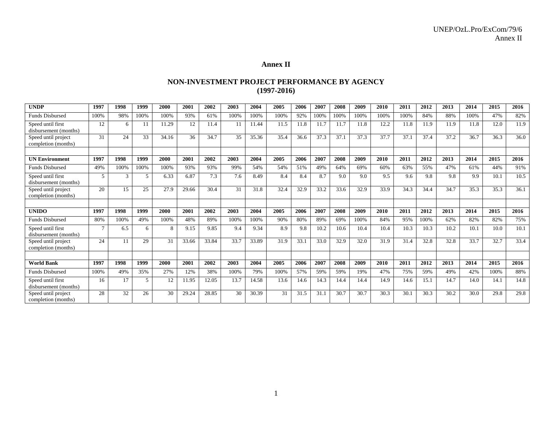#### **Annex II**

#### **NON-INVESTMENT PROJECT PERFORMANCE BY AGENCY (1997-2016)**

| <b>UNDP</b>                                | 1997           | 1998 | 1999 | 2000  | 2001  | 2002  | 2003 | 2004  | 2005 | 2006 | 2007 | 2008 | 2009 | 2010 | 2011 | 2012 | 2013 | 2014 | 2015 | 2016 |
|--------------------------------------------|----------------|------|------|-------|-------|-------|------|-------|------|------|------|------|------|------|------|------|------|------|------|------|
| <b>Funds Disbursed</b>                     | 100%           | 98%  | 100% | 100%  | 93%   | 61%   | 100% | 100%  | 100% | 92%  | 100% | 100% | 100% | 100% | 100% | 84%  | 88%  | 100% | 47%  | 82%  |
| Speed until first<br>disbursement (months) | 12             | 6    |      | 11.29 | 12    | 11.4  | 11   | 11.44 | 11.5 | 11.8 | 11.7 | 11.7 | 11.8 | 12.2 | 11.8 | 11.9 | 11.9 | 11.8 | 12.0 | 11.9 |
| Speed until project<br>completion (months) | 31             | 24   | 33   | 34.16 | 36    | 34.7  | 35   | 35.36 | 35.4 | 36.6 | 37.3 | 37.1 | 37.3 | 37.7 | 37.1 | 37.4 | 37.2 | 36.7 | 36.3 | 36.0 |
|                                            |                |      |      |       |       |       |      |       |      |      |      |      |      |      |      |      |      |      |      |      |
| <b>UN Environment</b>                      | 1997           | 1998 | 1999 | 2000  | 2001  | 2002  | 2003 | 2004  | 2005 | 2006 | 2007 | 2008 | 2009 | 2010 | 2011 | 2012 | 2013 | 2014 | 2015 | 2016 |
| <b>Funds Disbursed</b>                     | 49%            | 100% | 100% | 100%  | 93%   | 93%   | 99%  | 54%   | 54%  | 51%  | 49%  | 64%  | 69%  | 60%  | 63%  | 55%  | 47%  | 61%  | 44%  | 91%  |
| Speed until first<br>disbursement (months) | 5              | 3    | 5    | 6.33  | 6.87  | 7.3   | 7.6  | 8.49  | 8.4  | 8.4  | 8.7  | 9.0  | 9.0  | 9.5  | 9.6  | 9.8  | 9.8  | 9.9  | 10.1 | 10.5 |
| Speed until project<br>completion (months) | 20             | 15   | 25   | 27.9  | 29.66 | 30.4  | 31   | 31.8  | 32.4 | 32.9 | 33.2 | 33.6 | 32.9 | 33.9 | 34.3 | 34.4 | 34.7 | 35.3 | 35.3 | 36.1 |
|                                            |                |      |      |       |       |       |      |       |      |      |      |      |      |      |      |      |      |      |      |      |
| <b>UNIDO</b>                               | 1997           | 1998 | 1999 | 2000  | 2001  | 2002  | 2003 | 2004  | 2005 | 2006 | 2007 | 2008 | 2009 | 2010 | 2011 | 2012 | 2013 | 2014 | 2015 | 2016 |
| <b>Funds Disbursed</b>                     | 80%            | 100% | 49%  | 100%  | 48%   | 89%   | 100% | 100%  | 90%  | 80%  | 89%  | 69%  | 100% | 84%  | 95%  | 100% | 62%  | 82%  | 82%  | 75%  |
| Speed until first<br>disbursement (months) | $\overline{7}$ | 6.5  | 6    | 8     | 9.15  | 9.85  | 9.4  | 9.34  | 8.9  | 9.8  | 10.2 | 10.6 | 10.4 | 10.4 | 10.3 | 10.3 | 10.2 | 10.1 | 10.0 | 10.1 |
| Speed until project<br>completion (months) | 24             | 11   | 29   | 31    | 33.66 | 33.84 | 33.7 | 33.89 | 31.9 | 33.1 | 33.0 | 32.9 | 32.0 | 31.9 | 31.4 | 32.8 | 32.8 | 33.7 | 32.7 | 33.4 |
|                                            |                |      |      |       |       |       |      |       |      |      |      |      |      |      |      |      |      |      |      |      |
| <b>World Bank</b>                          | 1997           | 1998 | 1999 | 2000  | 2001  | 2002  | 2003 | 2004  | 2005 | 2006 | 2007 | 2008 | 2009 | 2010 | 2011 | 2012 | 2013 | 2014 | 2015 | 2016 |
| <b>Funds Disbursed</b>                     | 100%           | 49%  | 35%  | 27%   | 12%   | 38%   | 100% | 79%   | 100% | 57%  | 59%  | 59%  | 19%  | 47%  | 75%  | 59%  | 49%  | 42%  | 100% | 88%  |
| Speed until first<br>disbursement (months) | 16             | 17   | 5    | 12    | 11.95 | 12.05 | 13.7 | 14.58 | 13.6 | 14.6 | 14.3 | 14.4 | 14.4 | 14.9 | 14.6 | 15.1 | 14.7 | 14.0 | 14.1 | 14.8 |
| Speed until project<br>completion (months) | 28             | 32   | 26   | 30    | 29.24 | 28.85 | 30   | 30.39 | 31   | 31.5 | 31.1 | 30.7 | 30.7 | 30.3 | 30.1 | 30.3 | 30.2 | 30.0 | 29.8 | 29.8 |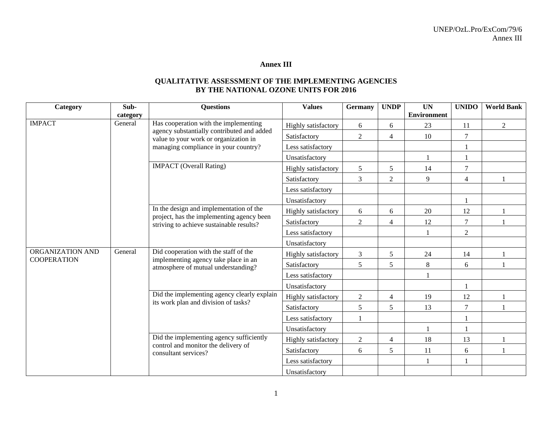#### **Annex III**

# **QUALITATIVE ASSESSMENT OF THE IMPLEMENTING AGENCIES BY THE NATIONAL OZONE UNITS FOR 2016**

| Category           | Sub-                                     | <b>Questions</b>                                                                      | <b>Values</b>       | <b>Germany</b> | <b>UNDP</b>    | <b>UN</b>          | <b>UNIDO</b>   | <b>World Bank</b> |
|--------------------|------------------------------------------|---------------------------------------------------------------------------------------|---------------------|----------------|----------------|--------------------|----------------|-------------------|
|                    | category                                 |                                                                                       |                     |                |                | <b>Environment</b> |                |                   |
| <b>IMPACT</b>      | General                                  | Has cooperation with the implementing<br>agency substantially contributed and added   | Highly satisfactory | 6              | 6              | 23                 | 11             | $\overline{2}$    |
|                    |                                          | value to your work or organization in                                                 | Satisfactory        | $\overline{2}$ | 4              | 10                 | $\tau$         |                   |
|                    |                                          | managing compliance in your country?                                                  | Less satisfactory   |                |                |                    |                |                   |
|                    |                                          |                                                                                       | Unsatisfactory      |                |                |                    |                |                   |
|                    |                                          | <b>IMPACT</b> (Overall Rating)                                                        | Highly satisfactory | 5              | 5              | 14                 | $\overline{7}$ |                   |
|                    |                                          |                                                                                       | Satisfactory        | 3              | $\overline{2}$ | 9                  | $\overline{4}$ |                   |
|                    |                                          |                                                                                       | Less satisfactory   |                |                |                    |                |                   |
|                    |                                          |                                                                                       | Unsatisfactory      |                |                |                    |                |                   |
|                    |                                          | In the design and implementation of the                                               | Highly satisfactory | 6              | 6              | 20                 | 12             |                   |
|                    |                                          | project, has the implementing agency been<br>striving to achieve sustainable results? | Satisfactory        | $\overline{2}$ | 4              | 12                 | $\tau$         |                   |
|                    |                                          |                                                                                       | Less satisfactory   |                |                |                    | $\overline{2}$ |                   |
|                    |                                          |                                                                                       | Unsatisfactory      |                |                |                    |                |                   |
| ORGANIZATION AND   | General                                  | Did cooperation with the staff of the                                                 | Highly satisfactory | $\mathfrak{Z}$ | 5              | 24                 | 14             |                   |
| <b>COOPERATION</b> |                                          | implementing agency take place in an<br>atmosphere of mutual understanding?           | Satisfactory        | 5              | 5              | 8                  | 6              |                   |
|                    |                                          |                                                                                       | Less satisfactory   |                |                |                    |                |                   |
|                    |                                          |                                                                                       | Unsatisfactory      |                |                |                    |                |                   |
|                    |                                          | Did the implementing agency clearly explain                                           | Highly satisfactory | $\overline{2}$ | $\overline{4}$ | 19                 | 12             |                   |
|                    |                                          | its work plan and division of tasks?                                                  | Satisfactory        | 5              | 5              | 13                 | $\tau$         |                   |
|                    |                                          |                                                                                       | Less satisfactory   |                |                |                    |                |                   |
|                    |                                          |                                                                                       | Unsatisfactory      |                |                |                    |                |                   |
|                    | Did the implementing agency sufficiently |                                                                                       | Highly satisfactory | $\overline{2}$ | 4              | 18                 | 13             |                   |
|                    |                                          | control and monitor the delivery of<br>consultant services?                           | Satisfactory        | 6              | 5              | 11                 | 6              |                   |
|                    |                                          |                                                                                       | Less satisfactory   |                |                |                    |                |                   |
|                    |                                          |                                                                                       | Unsatisfactory      |                |                |                    |                |                   |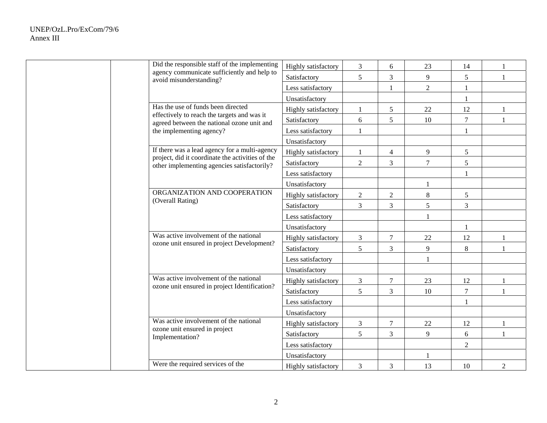| Did the responsible staff of the implementing                                                   | Highly satisfactory | $\mathfrak{Z}$ | 6                | 23             | 14             | $\mathbf{1}$   |
|-------------------------------------------------------------------------------------------------|---------------------|----------------|------------------|----------------|----------------|----------------|
| agency communicate sufficiently and help to<br>avoid misunderstanding?                          | Satisfactory        | 5              | 3                | 9              | 5              | $\mathbf{1}$   |
|                                                                                                 | Less satisfactory   |                |                  | $\overline{2}$ | 1              |                |
|                                                                                                 | Unsatisfactory      |                |                  |                | 1              |                |
| Has the use of funds been directed                                                              | Highly satisfactory |                | 5                | $22\,$         | 12             | $\mathbf{1}$   |
| effectively to reach the targets and was it<br>agreed between the national ozone unit and       | Satisfactory        | 6              | 5                | 10             | $\overline{7}$ | $\mathbf{1}$   |
| the implementing agency?                                                                        | Less satisfactory   |                |                  |                | 1              |                |
|                                                                                                 | Unsatisfactory      |                |                  |                |                |                |
| If there was a lead agency for a multi-agency                                                   | Highly satisfactory | $\mathbf{1}$   | $\overline{4}$   | 9              | 5              |                |
| project, did it coordinate the activities of the<br>other implementing agencies satisfactorily? | Satisfactory        | $\overline{2}$ | 3                | 7              | 5              |                |
|                                                                                                 | Less satisfactory   |                |                  |                |                |                |
|                                                                                                 | Unsatisfactory      |                |                  |                |                |                |
| ORGANIZATION AND COOPERATION                                                                    | Highly satisfactory | $\overline{2}$ | $\sqrt{2}$       | 8              | 5              |                |
| (Overall Rating)                                                                                | Satisfactory        | $\mathfrak{Z}$ | 3                | 5              | $\mathfrak{Z}$ |                |
|                                                                                                 | Less satisfactory   |                |                  |                |                |                |
|                                                                                                 | Unsatisfactory      |                |                  |                | $\mathbf{1}$   |                |
| Was active involvement of the national                                                          | Highly satisfactory | $\mathfrak{Z}$ | $\boldsymbol{7}$ | 22             | 12             | $\mathbf{1}$   |
| ozone unit ensured in project Development?                                                      | Satisfactory        | 5              | 3                | 9              | $\,8\,$        | $\mathbf{1}$   |
|                                                                                                 | Less satisfactory   |                |                  |                |                |                |
|                                                                                                 | Unsatisfactory      |                |                  |                |                |                |
| Was active involvement of the national                                                          | Highly satisfactory | $\mathfrak{Z}$ | $\tau$           | 23             | 12             | $\mathbf{1}$   |
| ozone unit ensured in project Identification?                                                   | Satisfactory        | 5              | 3                | 10             | $\tau$         | $\mathbf{1}$   |
|                                                                                                 | Less satisfactory   |                |                  |                | 1              |                |
|                                                                                                 | Unsatisfactory      |                |                  |                |                |                |
| Was active involvement of the national<br>ozone unit ensured in project                         | Highly satisfactory | $\mathfrak{Z}$ | $\boldsymbol{7}$ | 22             | 12             | $\mathbf{1}$   |
| Implementation?                                                                                 | Satisfactory        | 5              | 3                | 9              | 6              | $\mathbf{1}$   |
|                                                                                                 | Less satisfactory   |                |                  |                | $\overline{2}$ |                |
|                                                                                                 | Unsatisfactory      |                |                  |                |                |                |
| Were the required services of the                                                               | Highly satisfactory | 3              | 3                | 13             | 10             | $\overline{2}$ |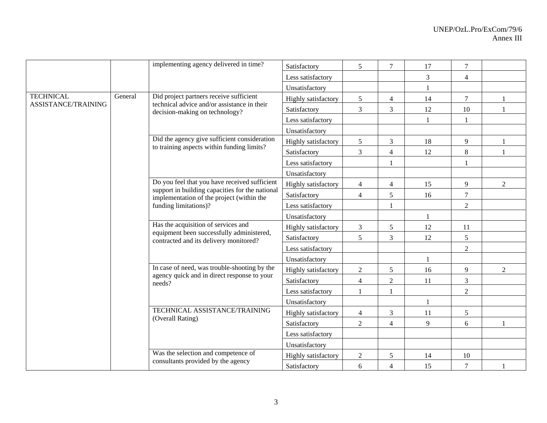|                     |         | implementing agency delivered in time?                                                                                                        | Satisfactory        | 5              | $\tau$         | 17 | $\overline{7}$ |                |
|---------------------|---------|-----------------------------------------------------------------------------------------------------------------------------------------------|---------------------|----------------|----------------|----|----------------|----------------|
|                     |         |                                                                                                                                               | Less satisfactory   |                |                | 3  | $\overline{4}$ |                |
|                     |         |                                                                                                                                               | Unsatisfactory      |                |                | 1  |                |                |
| <b>TECHNICAL</b>    | General | Did project partners receive sufficient                                                                                                       | Highly satisfactory | 5              | $\overline{4}$ | 14 | $\tau$         |                |
| ASSISTANCE/TRAINING |         | technical advice and/or assistance in their<br>decision-making on technology?                                                                 | Satisfactory        | 3              | 3              | 12 | 10             |                |
|                     |         |                                                                                                                                               | Less satisfactory   |                |                |    |                |                |
|                     |         |                                                                                                                                               | Unsatisfactory      |                |                |    |                |                |
|                     |         | Did the agency give sufficient consideration                                                                                                  | Highly satisfactory | 5 <sup>5</sup> | 3              | 18 | 9              |                |
|                     |         | to training aspects within funding limits?                                                                                                    | Satisfactory        | 3              | $\overline{4}$ | 12 | $8\,$          |                |
|                     |         |                                                                                                                                               | Less satisfactory   |                | $\mathbf{1}$   |    |                |                |
|                     |         |                                                                                                                                               | Unsatisfactory      |                |                |    |                |                |
|                     |         | Do you feel that you have received sufficient<br>support in building capacities for the national<br>implementation of the project (within the | Highly satisfactory | $\overline{4}$ | $\overline{4}$ | 15 | 9              | $\overline{2}$ |
|                     |         |                                                                                                                                               | Satisfactory        | $\overline{4}$ | 5              | 16 | $\overline{7}$ |                |
|                     |         | funding limitations)?                                                                                                                         | Less satisfactory   |                | 1              |    | $\overline{2}$ |                |
|                     |         | Has the acquisition of services and<br>equipment been successfully administered,<br>contracted and its delivery monitored?                    | Unsatisfactory      |                |                |    |                |                |
|                     |         |                                                                                                                                               | Highly satisfactory | 3              | 5              | 12 | 11             |                |
|                     |         |                                                                                                                                               | Satisfactory        | 5              | $\mathfrak{Z}$ | 12 | 5              |                |
|                     |         |                                                                                                                                               | Less satisfactory   |                |                |    | $\overline{2}$ |                |
|                     |         |                                                                                                                                               | Unsatisfactory      |                |                | 1  |                |                |
|                     |         | In case of need, was trouble-shooting by the                                                                                                  | Highly satisfactory | $\overline{2}$ | $\sqrt{5}$     | 16 | 9              | $\overline{2}$ |
|                     |         | agency quick and in direct response to your<br>needs?                                                                                         | Satisfactory        | $\overline{4}$ | $\overline{2}$ | 11 | $\mathfrak{Z}$ |                |
|                     |         |                                                                                                                                               | Less satisfactory   | $\mathbf{1}$   |                |    | $\sqrt{2}$     |                |
|                     |         |                                                                                                                                               | Unsatisfactory      |                |                |    |                |                |
|                     |         | TECHNICAL ASSISTANCE/TRAINING                                                                                                                 | Highly satisfactory | $\overline{4}$ | $\mathfrak{Z}$ | 11 | 5              |                |
|                     |         | (Overall Rating)                                                                                                                              | Satisfactory        | $\overline{2}$ | $\overline{4}$ | 9  | 6              | 1              |
|                     |         |                                                                                                                                               | Less satisfactory   |                |                |    |                |                |
|                     |         |                                                                                                                                               | Unsatisfactory      |                |                |    |                |                |
|                     |         | Was the selection and competence of                                                                                                           | Highly satisfactory | $\overline{c}$ | 5              | 14 | 10             |                |
|                     |         | consultants provided by the agency                                                                                                            | Satisfactory        | 6              | $\overline{4}$ | 15 | $\tau$         |                |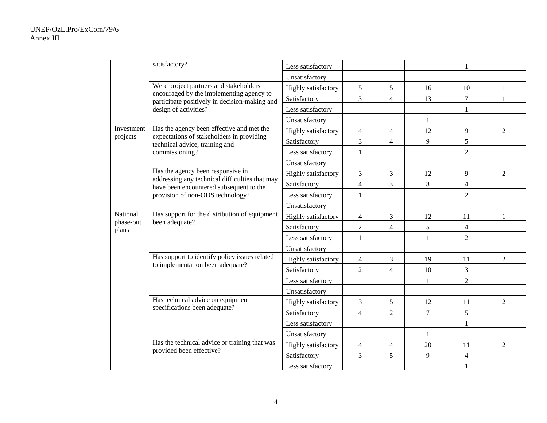|                    | satisfactory?                                                                             | Less satisfactory   |                |                |              | $\mathbf{1}$   |                |
|--------------------|-------------------------------------------------------------------------------------------|---------------------|----------------|----------------|--------------|----------------|----------------|
|                    |                                                                                           | Unsatisfactory      |                |                |              |                |                |
|                    | Were project partners and stakeholders                                                    | Highly satisfactory | $\sqrt{5}$     | 5              | 16           | 10             | 1              |
|                    | encouraged by the implementing agency to<br>participate positively in decision-making and | Satisfactory        | 3              | $\overline{4}$ | 13           | $\overline{7}$ | 1              |
|                    | design of activities?                                                                     | Less satisfactory   |                |                |              | $\mathbf{1}$   |                |
|                    |                                                                                           | Unsatisfactory      |                |                | 1            |                |                |
| Investment         | Has the agency been effective and met the                                                 | Highly satisfactory | $\overline{4}$ | $\overline{4}$ | 12           | 9              | $\overline{2}$ |
| projects           | expectations of stakeholders in providing<br>technical advice, training and               | Satisfactory        | $\overline{3}$ | $\overline{4}$ | 9            | 5              |                |
|                    | commissioning?                                                                            | Less satisfactory   |                |                |              | $\overline{2}$ |                |
|                    |                                                                                           | Unsatisfactory      |                |                |              |                |                |
|                    | Has the agency been responsive in                                                         | Highly satisfactory | $\mathfrak{Z}$ | 3              | 12           | 9              | $\overline{2}$ |
|                    | addressing any technical difficulties that may<br>have been encountered subsequent to the | Satisfactory        | $\overline{4}$ | $\overline{3}$ | 8            | $\overline{4}$ |                |
|                    | provision of non-ODS technology?                                                          | Less satisfactory   | $\mathbf{1}$   |                |              | $\sqrt{2}$     |                |
|                    |                                                                                           | Unsatisfactory      |                |                |              |                |                |
| National           | Has support for the distribution of equipment                                             | Highly satisfactory | $\overline{4}$ | 3              | 12           | 11             | 1              |
| phase-out<br>plans | been adequate?                                                                            | Satisfactory        | $\overline{2}$ | $\overline{4}$ | 5            | $\overline{4}$ |                |
|                    |                                                                                           | Less satisfactory   | $\overline{1}$ |                |              | $\overline{2}$ |                |
|                    |                                                                                           | Unsatisfactory      |                |                |              |                |                |
|                    | Has support to identify policy issues related                                             | Highly satisfactory | $\overline{4}$ | 3              | 19           | 11             | $\overline{2}$ |
|                    | to implementation been adequate?                                                          | Satisfactory        | $\overline{2}$ | $\overline{4}$ | $10\,$       | $\overline{3}$ |                |
|                    |                                                                                           | Less satisfactory   |                |                | 1            | $\sqrt{2}$     |                |
|                    |                                                                                           | Unsatisfactory      |                |                |              |                |                |
|                    | Has technical advice on equipment                                                         | Highly satisfactory | $\mathfrak{Z}$ | 5              | $12\,$       | 11             | $\overline{2}$ |
|                    | specifications been adequate?                                                             | Satisfactory        | $\overline{4}$ | $\overline{2}$ | $\tau$       | $\sqrt{5}$     |                |
|                    |                                                                                           | Less satisfactory   |                |                |              |                |                |
|                    |                                                                                           | Unsatisfactory      |                |                | $\mathbf{1}$ |                |                |
|                    | Has the technical advice or training that was                                             | Highly satisfactory | $\overline{4}$ | 4              | 20           | 11             | $\overline{2}$ |
|                    | provided been effective?                                                                  | Satisfactory        | $\mathfrak{Z}$ | 5              | 9            | $\overline{4}$ |                |
|                    |                                                                                           | Less satisfactory   |                |                |              |                |                |